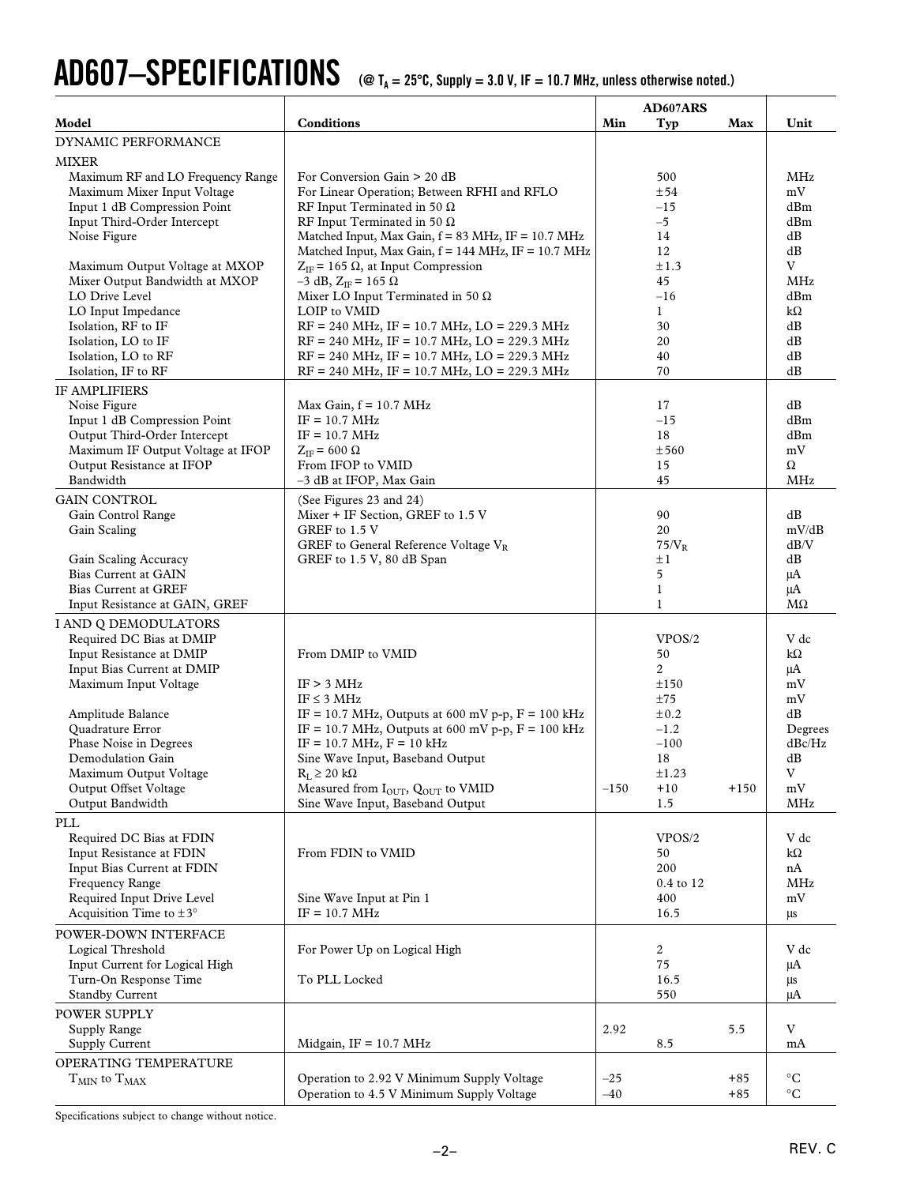# $\bf{AD607{\rm{-}SPECIFICATIONS}$  (@ T<sub>A</sub> = 25°C, Supply = 3.0 V, IF = 10.7 MHz, unless otherwise noted.)

|                                                                                                                                                                                                                                                                                                    |                                                                                                                                                                                                                                                                                                                                                                                                                                                                        |                | AD607ARS                                                                                                      |                |                                                                                         |
|----------------------------------------------------------------------------------------------------------------------------------------------------------------------------------------------------------------------------------------------------------------------------------------------------|------------------------------------------------------------------------------------------------------------------------------------------------------------------------------------------------------------------------------------------------------------------------------------------------------------------------------------------------------------------------------------------------------------------------------------------------------------------------|----------------|---------------------------------------------------------------------------------------------------------------|----------------|-----------------------------------------------------------------------------------------|
| Model                                                                                                                                                                                                                                                                                              | <b>Conditions</b>                                                                                                                                                                                                                                                                                                                                                                                                                                                      | Min            | Typ                                                                                                           | Max            | Unit                                                                                    |
| <b>DYNAMIC PERFORMANCE</b>                                                                                                                                                                                                                                                                         |                                                                                                                                                                                                                                                                                                                                                                                                                                                                        |                |                                                                                                               |                |                                                                                         |
| <b>MIXER</b><br>Maximum RF and LO Frequency Range<br>Maximum Mixer Input Voltage<br>Input 1 dB Compression Point<br>Input Third-Order Intercept<br>Noise Figure<br>Maximum Output Voltage at MXOP<br>Mixer Output Bandwidth at MXOP<br>LO Drive Level<br>LO Input Impedance<br>Isolation, RF to IF | For Conversion Gain > 20 dB<br>For Linear Operation; Between RFHI and RFLO<br>RF Input Terminated in 50 $\Omega$<br>RF Input Terminated in 50 $\Omega$<br>Matched Input, Max Gain, f = 83 MHz, IF = 10.7 MHz<br>Matched Input, Max Gain, f = 144 MHz, IF = 10.7 MHz<br>$Z_{IF}$ = 165 $\Omega$ , at Input Compression<br>$-3$ dB, $Z_{IF}$ = 165 $\Omega$<br>Mixer LO Input Terminated in 50 $\Omega$<br>LOIP to VMID<br>$RF = 240$ MHz, IF = 10.7 MHz, LO = 229.3 MHz |                | 500<br>±54<br>$-15$<br>$-5$<br>14<br>12<br>±1.3<br>45<br>$-16$<br>$\mathbf{1}$<br>30                          |                | <b>MHz</b><br>mV<br>dBm<br>dBm<br>dB<br>dB<br>V<br><b>MHz</b><br>dBm<br>$k\Omega$<br>dB |
| Isolation, LO to IF<br>Isolation, LO to RF                                                                                                                                                                                                                                                         | $RF = 240 \text{ MHz}, IF = 10.7 \text{ MHz}, LO = 229.3 \text{ MHz}$<br>$RF = 240 \text{ MHz}, IF = 10.7 \text{ MHz}, LO = 229.3 \text{ MHz}$                                                                                                                                                                                                                                                                                                                         |                | 20<br>40                                                                                                      |                | dB<br>dB                                                                                |
| Isolation, IF to RF                                                                                                                                                                                                                                                                                | $RF = 240 \text{ MHz}, IF = 10.7 \text{ MHz}, LO = 229.3 \text{ MHz}$                                                                                                                                                                                                                                                                                                                                                                                                  |                | 70                                                                                                            |                | dB                                                                                      |
| <b>IF AMPLIFIERS</b><br>Noise Figure<br>Input 1 dB Compression Point<br>Output Third-Order Intercept<br>Maximum IF Output Voltage at IFOP<br>Output Resistance at IFOP<br>Bandwidth                                                                                                                | Max Gain, $f = 10.7 \text{ MHz}$<br>$IF = 10.7 MHz$<br>$IF = 10.7 MHz$<br>$Z_{IF}$ = 600 $\Omega$<br>From IFOP to VMID<br>-3 dB at IFOP, Max Gain                                                                                                                                                                                                                                                                                                                      |                | 17<br>$-15$<br>18<br>±560<br>15<br>45                                                                         |                | dB<br>dBm<br>dBm<br>mV<br>Ω<br><b>MHz</b>                                               |
| <b>GAIN CONTROL</b><br>Gain Control Range<br>Gain Scaling<br>Gain Scaling Accuracy<br>Bias Current at GAIN<br><b>Bias Current at GREF</b><br>Input Resistance at GAIN, GREF                                                                                                                        | (See Figures 23 and 24)<br>Mixer + IF Section, GREF to 1.5 V<br>GREF to 1.5 V<br>GREF to General Reference Voltage $V_R$<br>GREF to 1.5 V, 80 dB Span                                                                                                                                                                                                                                                                                                                  |                | 90<br>20<br>$75/V_R$<br>$\pm 1$<br>5<br>$\mathbf{1}$<br>$\mathbf{1}$                                          |                | dB<br>mV/dB<br>dB/V<br>dB<br>$\mu A$<br>$\mu A$<br>МΩ                                   |
| I AND Q DEMODULATORS<br>Required DC Bias at DMIP<br>Input Resistance at DMIP<br>Input Bias Current at DMIP<br>Maximum Input Voltage<br>Amplitude Balance<br>Quadrature Error<br>Phase Noise in Degrees<br>Demodulation Gain<br>Maximum Output Voltage<br>Output Offset Voltage<br>Output Bandwidth | From DMIP to VMID<br>IF > 3 MHz<br>IF $\leq$ 3 MHz<br>IF = 10.7 MHz, Outputs at 600 mV p-p, $F = 100$ kHz<br>IF = 10.7 MHz, Outputs at 600 mV p-p, $F = 100$ kHz<br>$IF = 10.7 MHz, F = 10 kHz$<br>Sine Wave Input, Baseband Output<br>$R_L \geq 20 k\Omega$<br>Measured from I <sub>OUT</sub> , Q <sub>OUT</sub> to VMID<br>Sine Wave Input, Baseband Output                                                                                                          | $-150$         | VPOS/2<br>50<br>$\overline{c}$<br>±150<br>±75<br>$\pm 0.2$<br>$-1.2$<br>$-100$<br>18<br>±1.23<br>$+10$<br>1.5 | $+150$         | V dc<br>kΩ<br>μA<br>mV<br>mV<br>dB<br>Degrees<br>dBc/Hz<br>dB<br>V<br>mV<br>MHz         |
| $\ensuremath{\text{PLL}}$<br>Required DC Bias at FDIN<br>Input Resistance at FDIN<br>Input Bias Current at FDIN<br>Frequency Range<br>Required Input Drive Level<br>Acquisition Time to $\pm 3^{\circ}$                                                                                            | From FDIN to VMID<br>Sine Wave Input at Pin 1<br>$IF = 10.7 MHz$                                                                                                                                                                                                                                                                                                                                                                                                       |                | VPOS/2<br>50<br>200<br>0.4 to 12<br>400<br>16.5                                                               |                | V dc<br>kΩ<br>nA<br>MHz<br>mV<br>μs                                                     |
| POWER-DOWN INTERFACE<br>Logical Threshold<br>Input Current for Logical High<br>Turn-On Response Time<br><b>Standby Current</b>                                                                                                                                                                     | For Power Up on Logical High<br>To PLL Locked                                                                                                                                                                                                                                                                                                                                                                                                                          |                | $\overline{c}$<br>75<br>16.5<br>550                                                                           |                | V dc<br>μA<br>μs<br>μA                                                                  |
| POWER SUPPLY<br>Supply Range<br>Supply Current                                                                                                                                                                                                                                                     | Midgain, $IF = 10.7 MHz$                                                                                                                                                                                                                                                                                                                                                                                                                                               | 2.92           | 8.5                                                                                                           | 5.5            | V<br>mA                                                                                 |
| OPERATING TEMPERATURE<br>${\rm T_{MIN}}$ to ${\rm T_{MAX}}$                                                                                                                                                                                                                                        | Operation to 2.92 V Minimum Supply Voltage<br>Operation to 4.5 V Minimum Supply Voltage                                                                                                                                                                                                                                                                                                                                                                                | $-25$<br>$-40$ |                                                                                                               | $+85$<br>$+85$ | $\rm ^{\circ}C$<br>$^{\circ}C$                                                          |

Specifications subject to change without notice.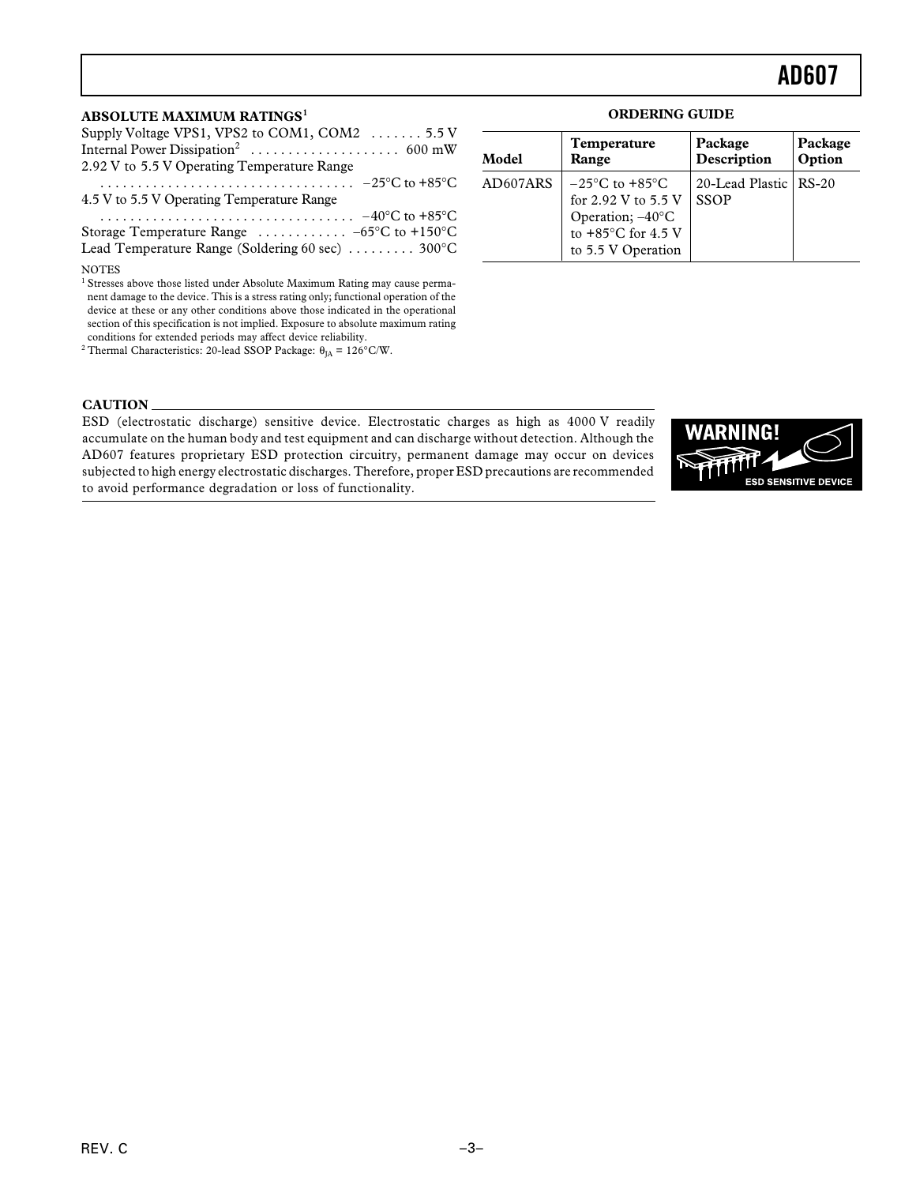#### **ABSOLUTE MAXIMUM RATINGS<sup>1</sup>**

| Supply Voltage VPS1, VPS2 to COM1, COM2 5.5 V                                                                                                                                  |
|--------------------------------------------------------------------------------------------------------------------------------------------------------------------------------|
|                                                                                                                                                                                |
| 2.92 V to 5.5 V Operating Temperature Range                                                                                                                                    |
|                                                                                                                                                                                |
| 4.5 V to 5.5 V Operating Temperature Range                                                                                                                                     |
| $\cdots \cdots \cdots \cdots \cdots \cdots \cdots \cdots \cdots \cdots -40^{\circ}C$ to +85°C                                                                                  |
| Storage Temperature Range $\ldots \ldots \ldots -65$ °C to +150°C                                                                                                              |
| Lead Temperature Range (Soldering 60 sec)  300°C                                                                                                                               |
| <b>NOTES</b>                                                                                                                                                                   |
| <sup>1</sup> Stresses above those listed under Absolute Maximum Rating may cause perma-<br>nent damage to the device. This is a stress rating only functional operation of the |

nent damage to the device. This is a stress rating only; functional operation of the device at these or any other conditions above those indicated in the operational section of this specification is not implied. Exposure to absolute maximum rating conditions for extended periods may affect device reliability.

<sup>2</sup> Thermal Characteristics: 20-lead SSOP Package:  $\theta_{JA} = 126^{\circ}$ C/W.

#### **ORDERING GUIDE**

| Model    | <b>Temperature</b>                                                                                                        | Package                                | Package |
|----------|---------------------------------------------------------------------------------------------------------------------------|----------------------------------------|---------|
|          | Range                                                                                                                     | Description                            | Option  |
| AD607ARS | $-25^{\circ}$ C to $+85^{\circ}$ C<br>for 2.92 V to 5.5 V<br>Operation; -40°C<br>to +85°C for 4.5 V<br>to 5.5 V Operation | 20-Lead Plastic   RS-20<br><b>SSOP</b> |         |

#### **CAUTION**

ESD (electrostatic discharge) sensitive device. Electrostatic charges as high as 4000 V readily accumulate on the human body and test equipment and can discharge without detection. Although the AD607 features proprietary ESD protection circuitry, permanent damage may occur on devices subjected to high energy electrostatic discharges. Therefore, proper ESD precautions are recommended to avoid performance degradation or loss of functionality.

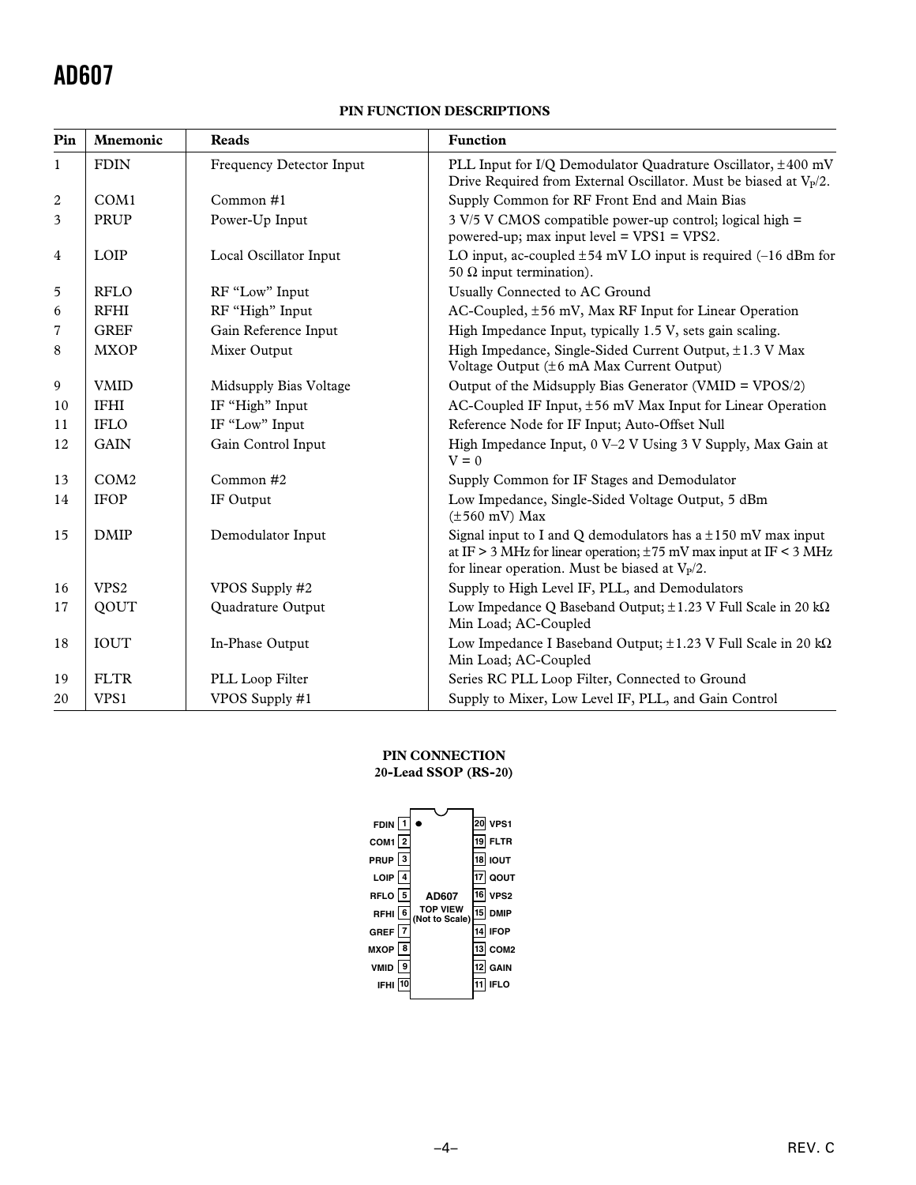#### **PIN FUNCTION DESCRIPTIONS**

| Pin            | <b>Mnemonic</b>  | <b>Reads</b>             | <b>Function</b>                                                                                                                                                                                   |
|----------------|------------------|--------------------------|---------------------------------------------------------------------------------------------------------------------------------------------------------------------------------------------------|
| 1              | <b>FDIN</b>      | Frequency Detector Input | PLL Input for I/Q Demodulator Quadrature Oscillator, ±400 mV<br>Drive Required from External Oscillator. Must be biased at $V_P/2$ .                                                              |
| $\overline{2}$ | COM1             | Common#1                 | Supply Common for RF Front End and Main Bias                                                                                                                                                      |
| 3              | <b>PRUP</b>      | Power-Up Input           | $3 \text{ V}/5 \text{ V}$ CMOS compatible power-up control; logical high =<br>powered-up; max input level = $VPS1 = VPS2$ .                                                                       |
| $\overline{4}$ | LOIP             | Local Oscillator Input   | LO input, ac-coupled $\pm 54$ mV LO input is required (-16 dBm for<br>50 $\Omega$ input termination).                                                                                             |
| 5              | <b>RFLO</b>      | RF "Low" Input           | Usually Connected to AC Ground                                                                                                                                                                    |
| 6              | <b>RFHI</b>      | RF "High" Input          | AC-Coupled, ±56 mV, Max RF Input for Linear Operation                                                                                                                                             |
| $\overline{7}$ | <b>GREF</b>      | Gain Reference Input     | High Impedance Input, typically 1.5 V, sets gain scaling.                                                                                                                                         |
| 8              | <b>MXOP</b>      | Mixer Output             | High Impedance, Single-Sided Current Output, ±1.3 V Max<br>Voltage Output (±6 mA Max Current Output)                                                                                              |
| 9              | <b>VMID</b>      | Midsupply Bias Voltage   | Output of the Midsupply Bias Generator (VMID = VPOS/2)                                                                                                                                            |
| 10             | <b>IFHI</b>      | IF "High" Input          | AC-Coupled IF Input, $\pm 56$ mV Max Input for Linear Operation                                                                                                                                   |
| 11             | <b>IFLO</b>      | IF "Low" Input           | Reference Node for IF Input; Auto-Offset Null                                                                                                                                                     |
| 12             | <b>GAIN</b>      | Gain Control Input       | High Impedance Input, 0 V-2 V Using 3 V Supply, Max Gain at<br>$V = 0$                                                                                                                            |
| 13             | COM2             | Common #2                | Supply Common for IF Stages and Demodulator                                                                                                                                                       |
| 14             | <b>IFOP</b>      | IF Output                | Low Impedance, Single-Sided Voltage Output, 5 dBm<br>$(\pm 560 \text{ mV})$ Max                                                                                                                   |
| 15             | <b>DMIP</b>      | Demodulator Input        | Signal input to I and Q demodulators has $a \pm 150$ mV max input<br>at IF > 3 MHz for linear operation; $\pm 75$ mV max input at IF < 3 MHz<br>for linear operation. Must be biased at $V_P/2$ . |
| 16             | VPS <sub>2</sub> | VPOS Supply #2           | Supply to High Level IF, PLL, and Demodulators                                                                                                                                                    |
| 17             | QOUT             | Quadrature Output        | Low Impedance Q Baseband Output; ±1.23 V Full Scale in 20 kΩ<br>Min Load; AC-Coupled                                                                                                              |
| 18             | <b>IOUT</b>      | In-Phase Output          | Low Impedance I Baseband Output; $\pm 1.23$ V Full Scale in 20 k $\Omega$<br>Min Load; AC-Coupled                                                                                                 |
| 19             | <b>FLTR</b>      | PLL Loop Filter          | Series RC PLL Loop Filter, Connected to Ground                                                                                                                                                    |
| 20             | VPS1             | VPOS Supply #1           | Supply to Mixer, Low Level IF, PLL, and Gain Control                                                                                                                                              |

#### **PIN CONNECTION**

#### **20-Lead SSOP (RS-20)**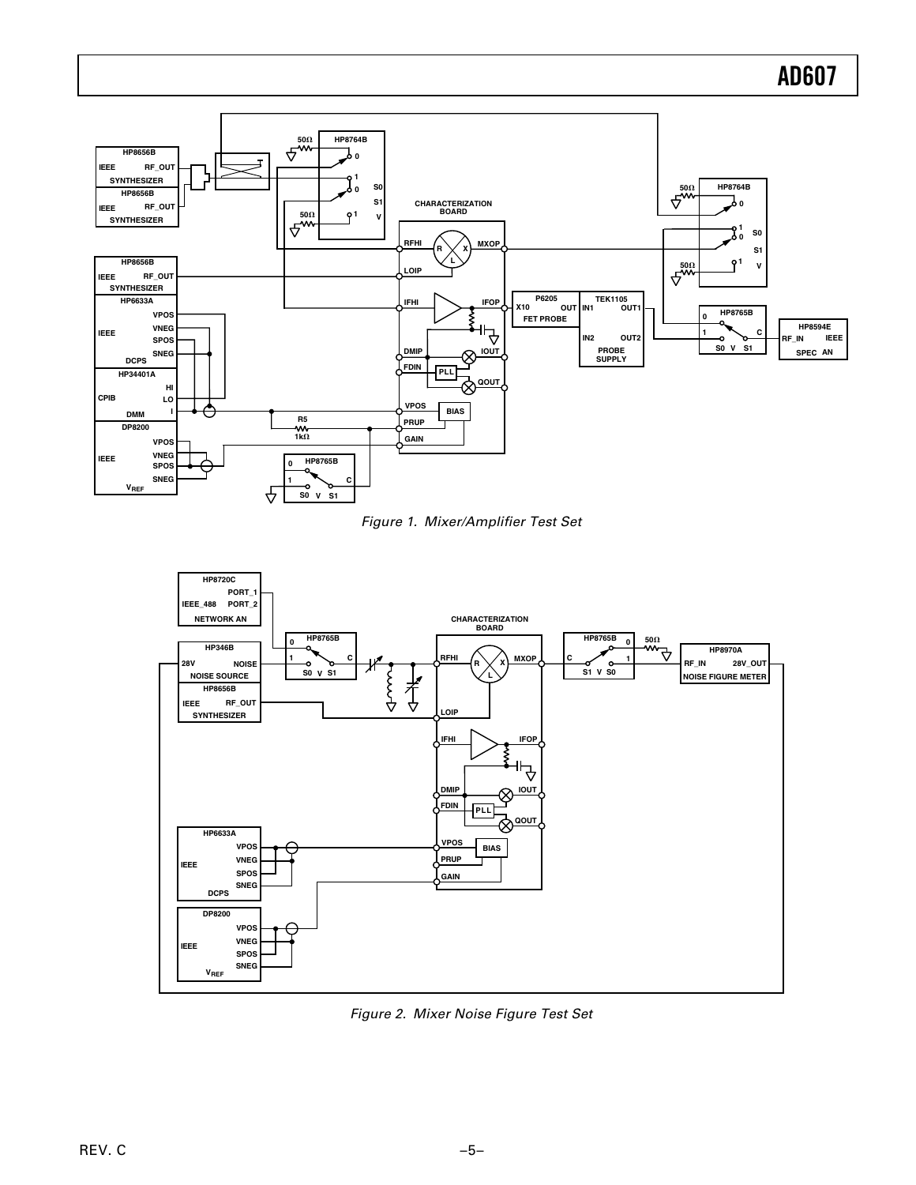

Figure 1. Mixer/Amplifier Test Set



Figure 2. Mixer Noise Figure Test Set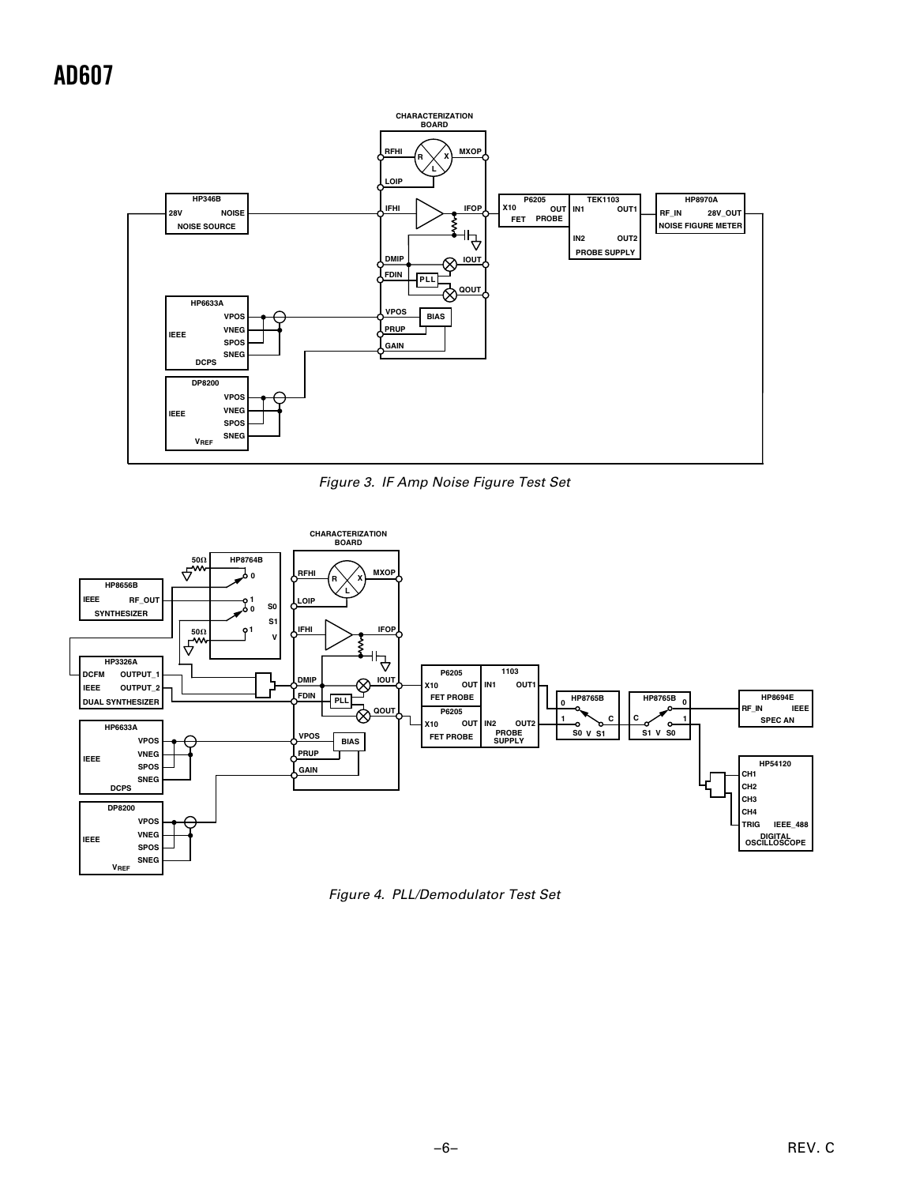

Figure 3. IF Amp Noise Figure Test Set



Figure 4. PLL/Demodulator Test Set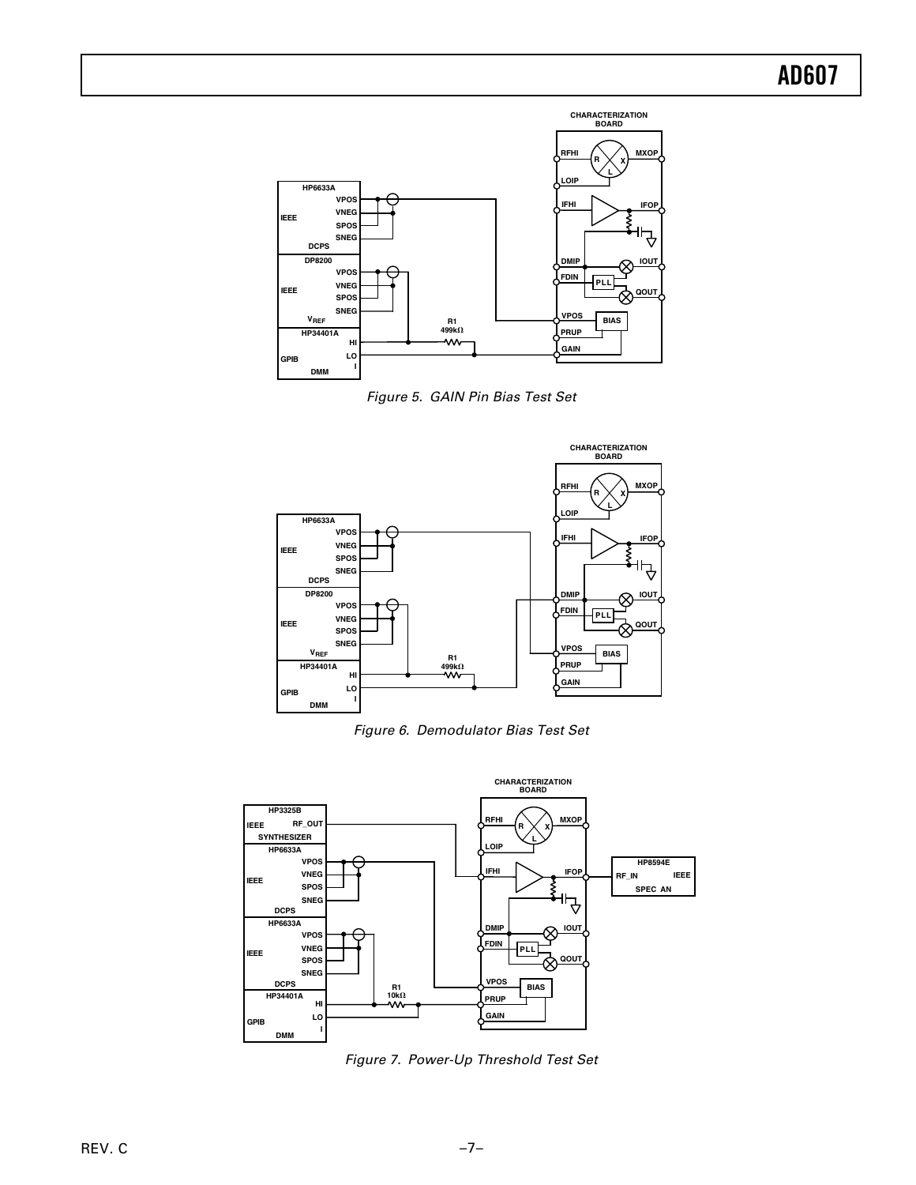

Figure 5. GAIN Pin Bias Test Set



Figure 6. Demodulator Bias Test Set



Figure 7. Power-Up Threshold Test Set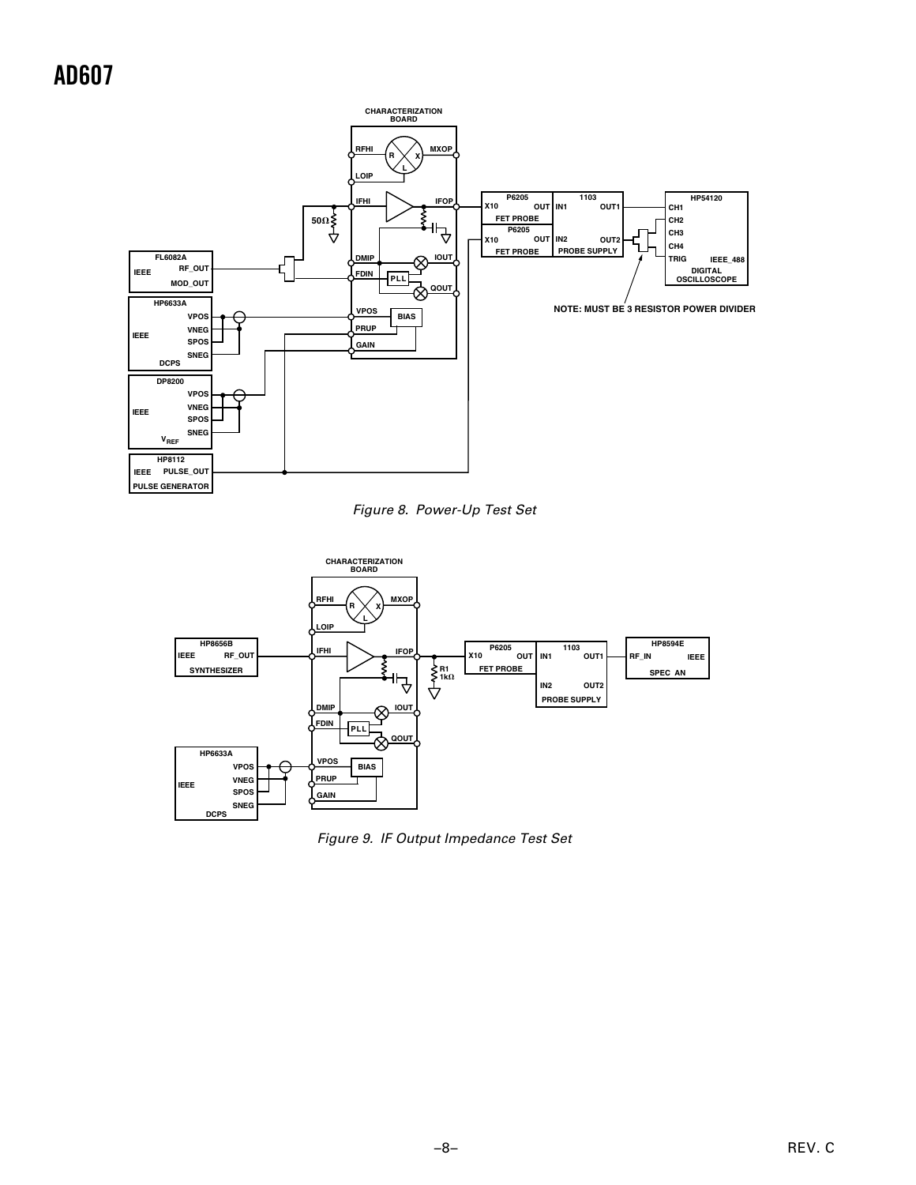

Figure 8. Power-Up Test Set



Figure 9. IF Output Impedance Test Set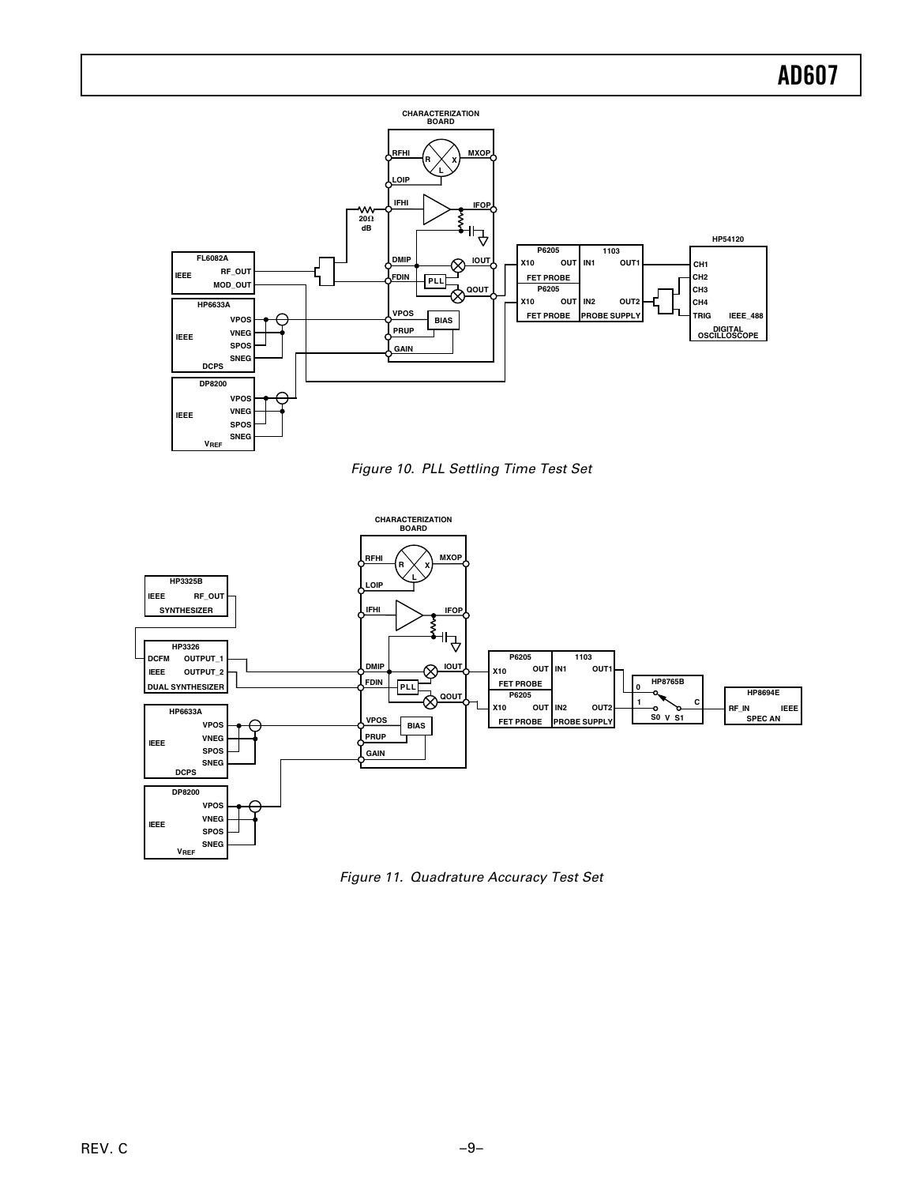

Figure 10. PLL Settling Time Test Set



Figure 11. Quadrature Accuracy Test Set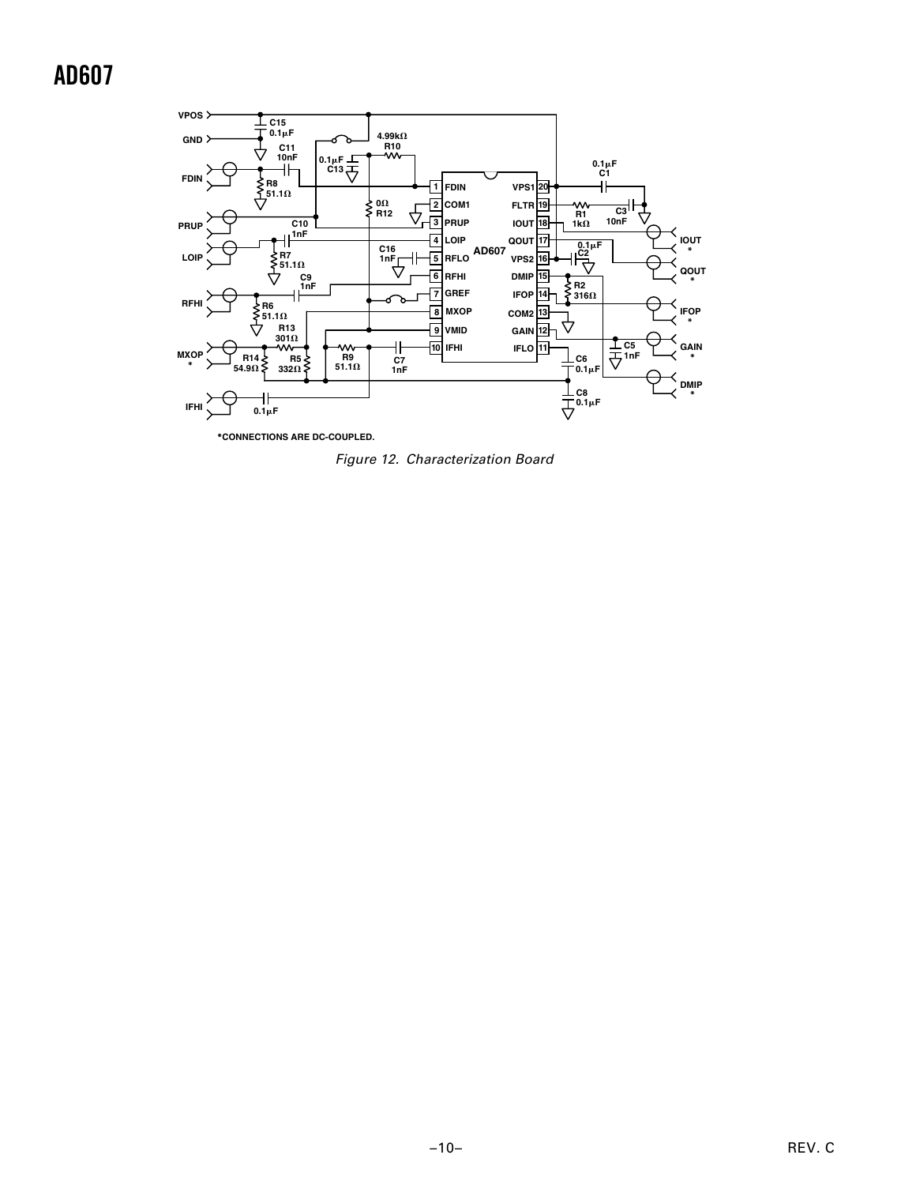

**\*CONNECTIONS ARE DC-COUPLED.**

Figure 12. Characterization Board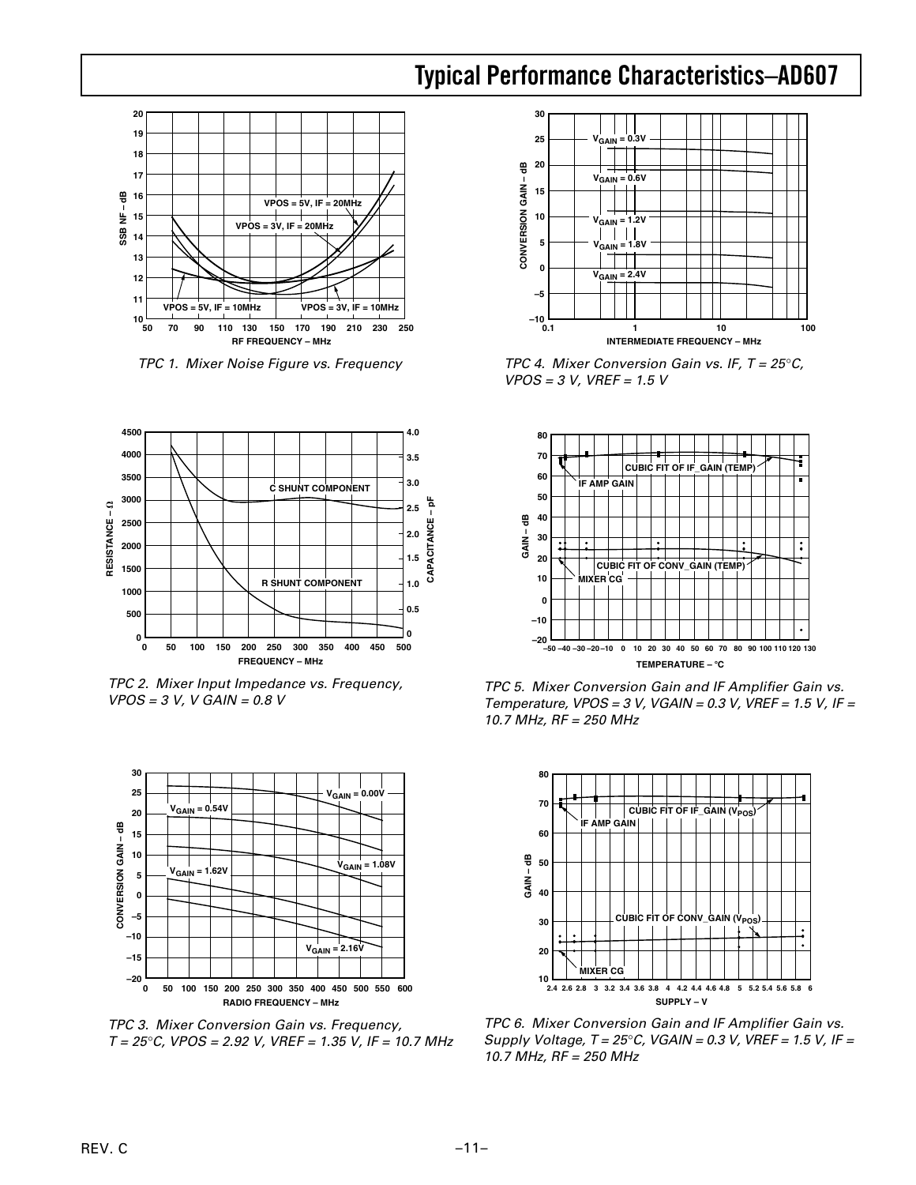### **Typical Performance Characteristics–AD607**



TPC 1. Mixer Noise Figure vs. Frequency



TPC 2. Mixer Input Impedance vs. Frequency,  $VPOS = 3 V, V GAM = 0.8 V$ 



TPC 3. Mixer Conversion Gain vs. Frequency,  $T = 25^{\circ}$ C, VPOS = 2.92 V, VREF = 1.35 V, IF = 10.7 MHz



TPC 4. Mixer Conversion Gain vs. IF,  $T = 25^{\circ}$ C,  $VPOS = 3 V, VREF = 1.5 V$ 



TPC 5. Mixer Conversion Gain and IF Amplifier Gain vs. Temperature,  $VPOS = 3 V$ ,  $VGAIN = 0.3 V$ ,  $VREF = 1.5 V$ , IF = 10.7 MHz, RF = 250 MHz



TPC 6. Mixer Conversion Gain and IF Amplifier Gain vs. Supply Voltage,  $T = 25^{\circ}$ C, VGAIN = 0.3 V, VREF = 1.5 V, IF = 10.7 MHz, RF = 250 MHz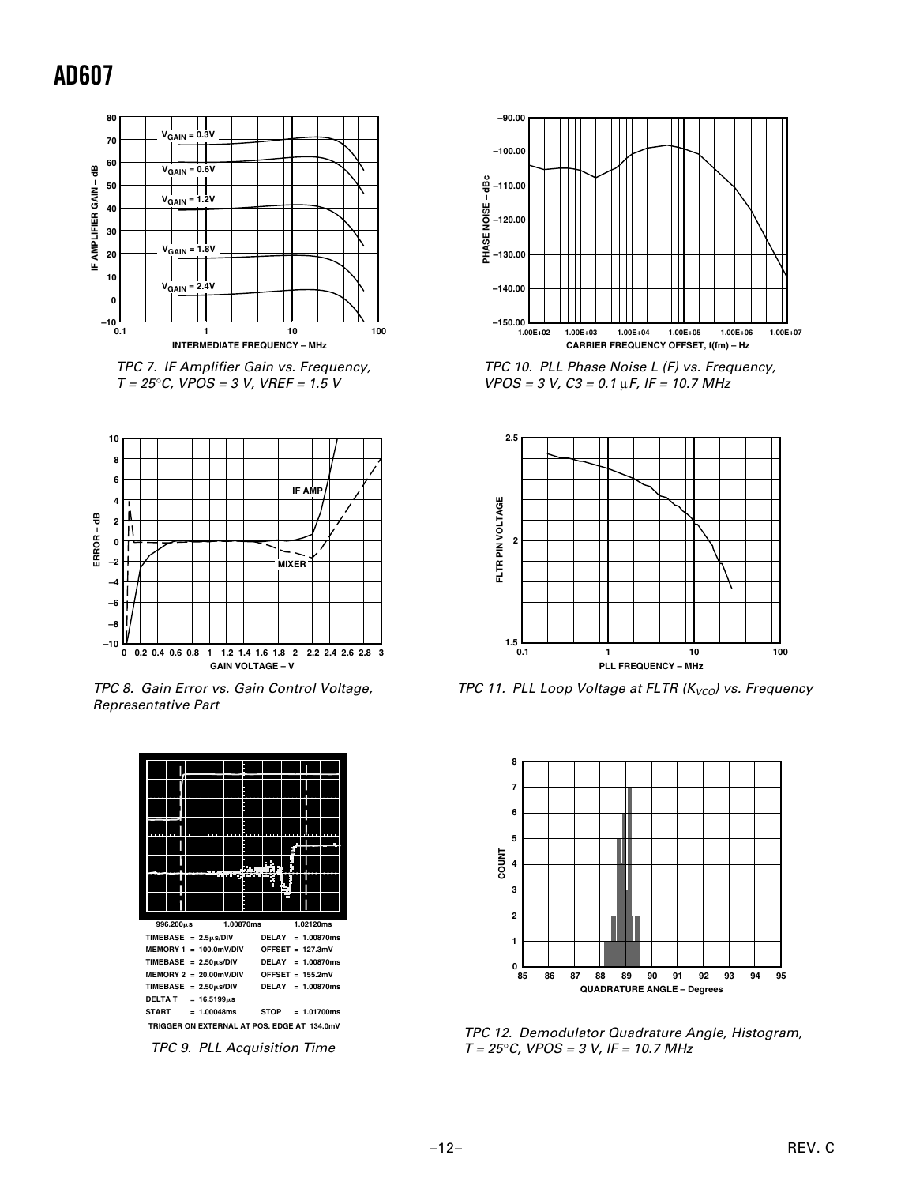

 TPC 7. IF Amplifier Gain vs. Frequency,  $T = 25^{\circ}$ C, VPOS = 3 V, VREF = 1.5 V



TPC 8. Gain Error vs. Gain Control Voltage, Representative Part



TPC 9. PLL Acquisition Time



TPC 10. PLL Phase Noise L (F) vs. Frequency,  $VPOS = 3 V, C3 = 0.1 \mu F, IF = 10.7 MHz$ 



TPC 11. PLL Loop Voltage at FLTR ( $K_{VCO}$ ) vs. Frequency



TPC 12. Demodulator Quadrature Angle, Histogram,  $T = 25^{\circ}$ C, VPOS = 3 V, IF = 10.7 MHz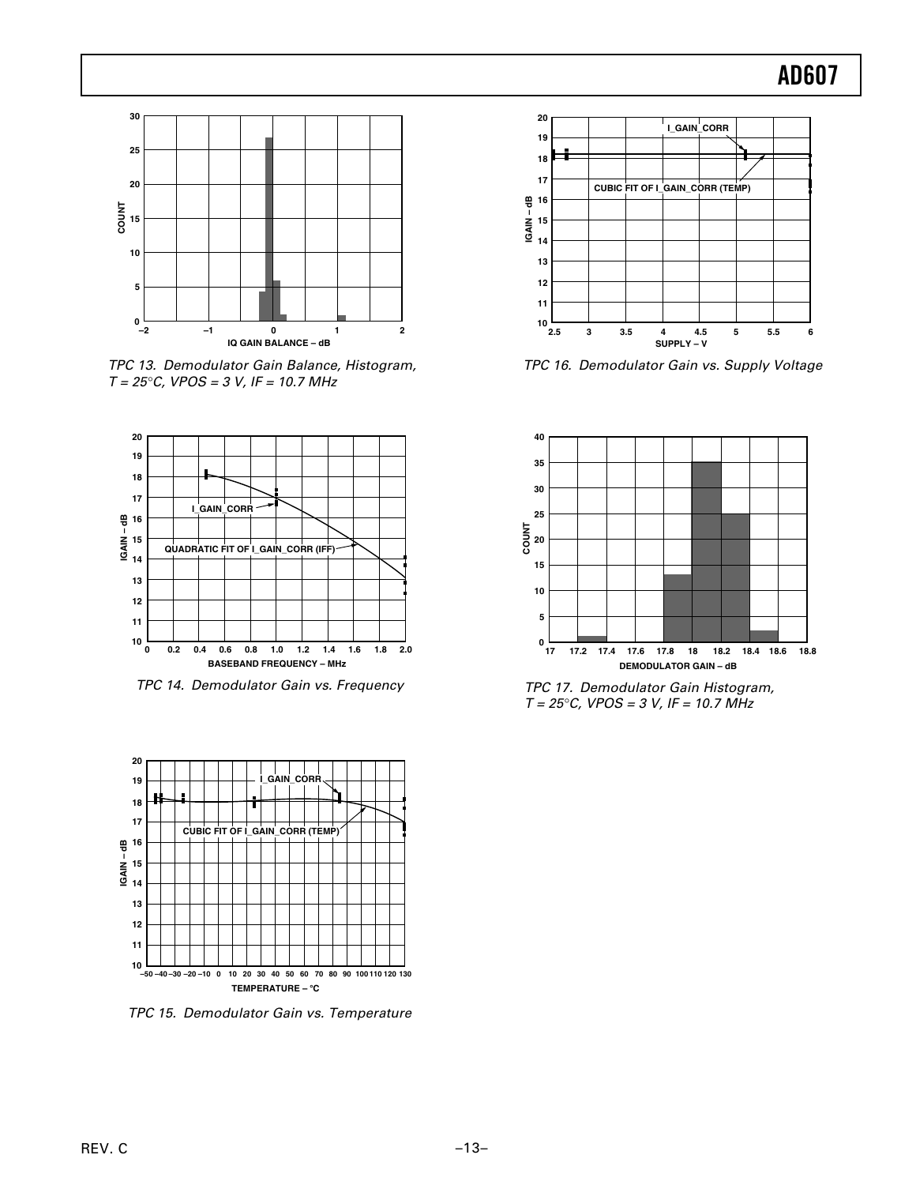

TPC 13. Demodulator Gain Balance, Histogram,  $T = 25^{\circ}$ C, VPOS = 3 V, IF = 10.7 MHz



TPC 14. Demodulator Gain vs. Frequency



TPC 15. Demodulator Gain vs. Temperature



TPC 16. Demodulator Gain vs. Supply Voltage



TPC 17. Demodulator Gain Histogram,  $T = 25^{\circ}$ C, VPOS = 3 V, IF = 10.7 MHz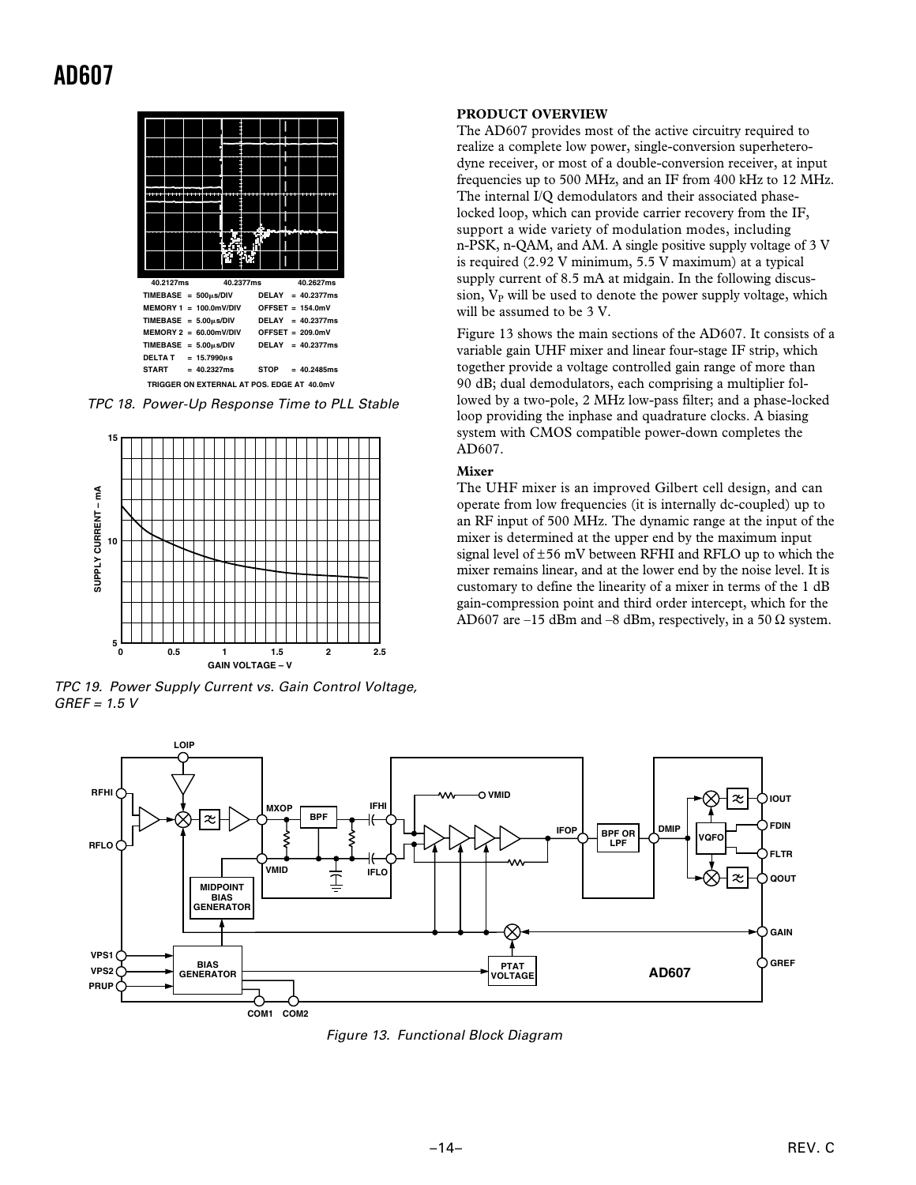

TPC 18. Power-Up Response Time to PLL Stable



TPC 19. Power Supply Current vs. Gain Control Voltage,  $GREF = 1.5 V$ 

#### **PRODUCT OVERVIEW**

The AD607 provides most of the active circuitry required to realize a complete low power, single-conversion superheterodyne receiver, or most of a double-conversion receiver, at input frequencies up to 500 MHz, and an IF from 400 kHz to 12 MHz. The internal I/Q demodulators and their associated phaselocked loop, which can provide carrier recovery from the IF, support a wide variety of modulation modes, including n-PSK, n-QAM, and AM. A single positive supply voltage of 3 V is required (2.92 V minimum, 5.5 V maximum) at a typical supply current of 8.5 mA at midgain. In the following discussion,  $V_P$  will be used to denote the power supply voltage, which will be assumed to be 3 V.

Figure 13 shows the main sections of the AD607. It consists of a variable gain UHF mixer and linear four-stage IF strip, which together provide a voltage controlled gain range of more than 90 dB; dual demodulators, each comprising a multiplier followed by a two-pole, 2 MHz low-pass filter; and a phase-locked loop providing the inphase and quadrature clocks. A biasing system with CMOS compatible power-down completes the AD607.

#### **Mixer**

The UHF mixer is an improved Gilbert cell design, and can operate from low frequencies (it is internally dc-coupled) up to an RF input of 500 MHz. The dynamic range at the input of the mixer is determined at the upper end by the maximum input signal level of ±56 mV between RFHI and RFLO up to which the mixer remains linear, and at the lower end by the noise level. It is customary to define the linearity of a mixer in terms of the 1 dB gain-compression point and third order intercept, which for the AD607 are –15 dBm and –8 dBm, respectively, in a 50  $\Omega$  system.



Figure 13. Functional Block Diagram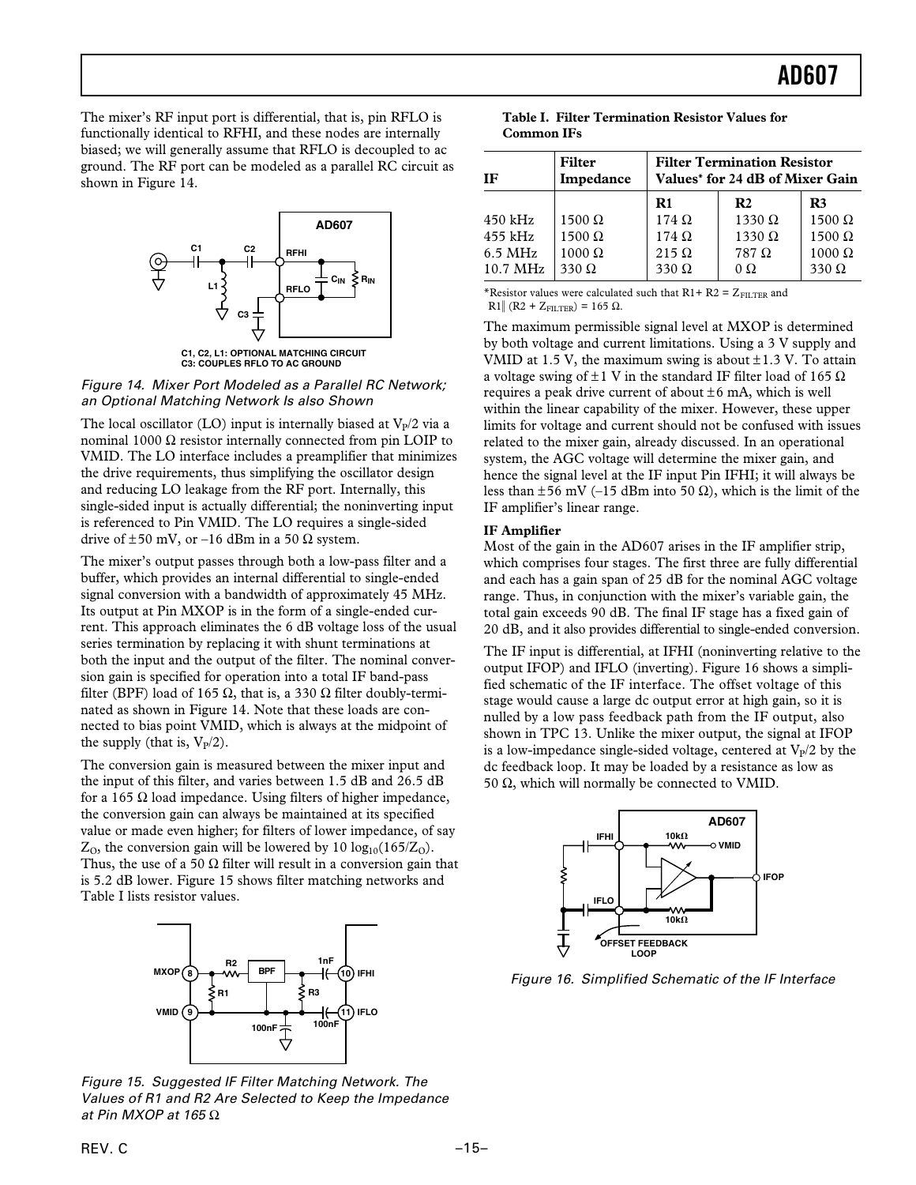The mixer's RF input port is differential, that is, pin RFLO is functionally identical to RFHI, and these nodes are internally biased; we will generally assume that RFLO is decoupled to ac ground. The RF port can be modeled as a parallel RC circuit as shown in Figure 14.



**C1, C2, L1: OPTIONAL MATCHING CIRCUIT C3: COUPLES RFLO TO AC GROUND**

Figure 14. Mixer Port Modeled as a Parallel RC Network; an Optional Matching Network Is also Shown

The local oscillator (LO) input is internally biased at  $V_p/2$  via a nominal 1000  $Ω$  resistor internally connected from pin LOIP to VMID. The LO interface includes a preamplifier that minimizes the drive requirements, thus simplifying the oscillator design and reducing LO leakage from the RF port. Internally, this single-sided input is actually differential; the noninverting input is referenced to Pin VMID. The LO requires a single-sided drive of  $\pm 50$  mV, or -16 dBm in a 50  $\Omega$  system.

The mixer's output passes through both a low-pass filter and a buffer, which provides an internal differential to single-ended signal conversion with a bandwidth of approximately 45 MHz. Its output at Pin MXOP is in the form of a single-ended current. This approach eliminates the 6 dB voltage loss of the usual series termination by replacing it with shunt terminations at both the input and the output of the filter. The nominal conversion gain is specified for operation into a total IF band-pass filter (BPF) load of 165  $\Omega$ , that is, a 330  $\Omega$  filter doubly-terminated as shown in Figure 14. Note that these loads are connected to bias point VMID, which is always at the midpoint of the supply (that is,  $V_{P}/2$ ).

The conversion gain is measured between the mixer input and the input of this filter, and varies between 1.5 dB and 26.5 dB for a 165 Ω load impedance. Using filters of higher impedance, the conversion gain can always be maintained at its specified value or made even higher; for filters of lower impedance, of say  $Z<sub>0</sub>$ , the conversion gain will be lowered by 10 log<sub>10</sub>(165/Z<sub>0</sub>). Thus, the use of a 50  $\Omega$  filter will result in a conversion gain that is 5.2 dB lower. Figure 15 shows filter matching networks and Table I lists resistor values.



Figure 15. Suggested IF Filter Matching Network. The Values of R1 and R2 Are Selected to Keep the Impedance at Pin MXOP at 165 $\Omega$ 

|                   | Table I. Filter Termination Resistor Values for |  |
|-------------------|-------------------------------------------------|--|
| <b>Common IFs</b> |                                                 |  |

| IF                                                        | Filter<br>Impedance                                             | <b>Filter Termination Resistor</b><br>Values* for 24 dB of Mixer Gain |                                                                              |                                                                       |  |  |
|-----------------------------------------------------------|-----------------------------------------------------------------|-----------------------------------------------------------------------|------------------------------------------------------------------------------|-----------------------------------------------------------------------|--|--|
| $450$ kHz<br>$455$ kHz<br>$6.5$ MHz<br>$10.7 \text{ MHz}$ | $1500 \Omega$<br>$1500 \Omega$<br>$1000 \Omega$<br>$330 \Omega$ | R1<br>$174 \Omega$<br>$174 \Omega$<br>$215 \Omega$<br>$330 \Omega$    | R <sub>2</sub><br>$1330 \Omega$<br>$1330 \Omega$<br>$787 \Omega$<br>$\Omega$ | R3<br>$1500 \Omega$<br>$1500 \Omega$<br>$1000 \Omega$<br>$330 \Omega$ |  |  |

\*Resistor values were calculated such that  $R1+ R2 = Z_{\text{FII TFR}}$  and

R1|| (R2 + Z<sub>FILTER</sub>) = 165 Ω.

The maximum permissible signal level at MXOP is determined by both voltage and current limitations. Using a 3 V supply and VMID at 1.5 V, the maximum swing is about  $\pm$ 1.3 V. To attain a voltage swing of  $\pm 1$  V in the standard IF filter load of 165  $\Omega$ requires a peak drive current of about  $\pm 6$  mA, which is well within the linear capability of the mixer. However, these upper limits for voltage and current should not be confused with issues related to the mixer gain, already discussed. In an operational system, the AGC voltage will determine the mixer gain, and hence the signal level at the IF input Pin IFHI; it will always be less than  $\pm 56$  mV (–15 dBm into 50  $\Omega$ ), which is the limit of the IF amplifier's linear range.

#### **IF Amplifier**

Most of the gain in the AD607 arises in the IF amplifier strip, which comprises four stages. The first three are fully differential and each has a gain span of 25 dB for the nominal AGC voltage range. Thus, in conjunction with the mixer's variable gain, the total gain exceeds 90 dB. The final IF stage has a fixed gain of 20 dB, and it also provides differential to single-ended conversion.

The IF input is differential, at IFHI (noninverting relative to the output IFOP) and IFLO (inverting). Figure 16 shows a simplified schematic of the IF interface. The offset voltage of this stage would cause a large dc output error at high gain, so it is nulled by a low pass feedback path from the IF output, also shown in TPC 13. Unlike the mixer output, the signal at IFOP is a low-impedance single-sided voltage, centered at  $V_p/2$  by the dc feedback loop. It may be loaded by a resistance as low as 50  $Ω$ , which will normally be connected to VMID.



Figure 16. Simplified Schematic of the IF Interface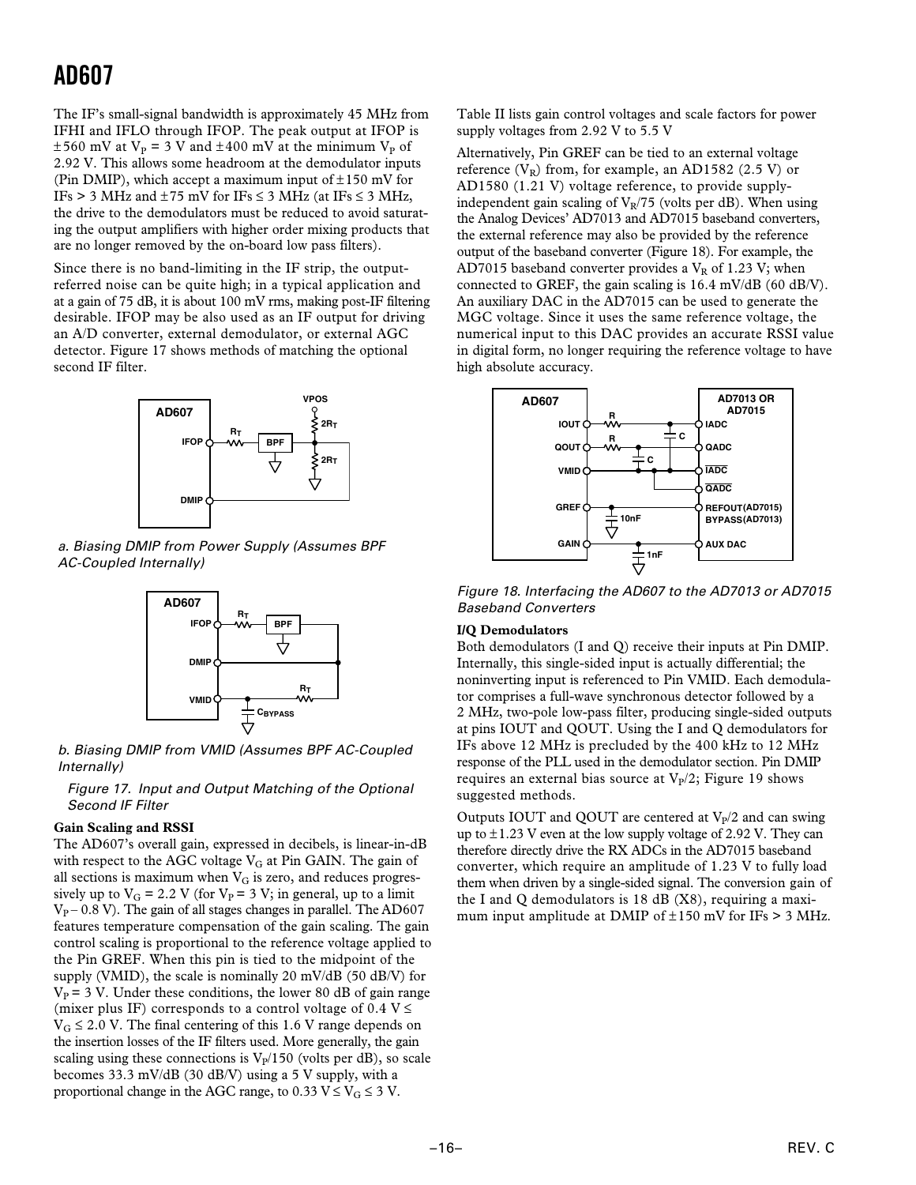The IF's small-signal bandwidth is approximately 45 MHz from IFHI and IFLO through IFOP. The peak output at IFOP is  $\pm 560$  mV at V<sub>P</sub> = 3 V and  $\pm 400$  mV at the minimum V<sub>P</sub> of 2.92 V. This allows some headroom at the demodulator inputs (Pin DMIP), which accept a maximum input of  $\pm 150$  mV for IFs > 3 MHz and  $\pm$  75 mV for IFs  $\leq$  3 MHz (at IFs  $\leq$  3 MHz, the drive to the demodulators must be reduced to avoid saturating the output amplifiers with higher order mixing products that are no longer removed by the on-board low pass filters).

Since there is no band-limiting in the IF strip, the outputreferred noise can be quite high; in a typical application and at a gain of 75 dB, it is about 100 mV rms, making post-IF filtering desirable. IFOP may be also used as an IF output for driving an A/D converter, external demodulator, or external AGC detector. Figure 17 shows methods of matching the optional second IF filter.



 a. Biasing DMIP from Power Supply (Assumes BPF AC-Coupled Internally)



 b. Biasing DMIP from VMID (Assumes BPF AC-Coupled Internally)

Figure 17. Input and Output Matching of the Optional Second IF Filter

#### **Gain Scaling and RSSI**

The AD607's overall gain, expressed in decibels, is linear-in-dB with respect to the AGC voltage  $V_G$  at Pin GAIN. The gain of all sections is maximum when  $V_G$  is zero, and reduces progressively up to  $V_G = 2.2$  V (for  $V_P = 3$  V; in general, up to a limit  $V_{P}$  – 0.8 V). The gain of all stages changes in parallel. The AD607 features temperature compensation of the gain scaling. The gain control scaling is proportional to the reference voltage applied to the Pin GREF. When this pin is tied to the midpoint of the supply (VMID), the scale is nominally 20 mV/dB (50 dB/V) for  $V_P$  = 3 V. Under these conditions, the lower 80 dB of gain range (mixer plus IF) corresponds to a control voltage of  $0.4$  V  $\le$  $V_G \le 2.0$  V. The final centering of this 1.6 V range depends on the insertion losses of the IF filters used. More generally, the gain scaling using these connections is  $V_p/150$  (volts per dB), so scale becomes 33.3 mV/dB (30 dB/V) using a 5 V supply, with a proportional change in the AGC range, to 0.33  $V \leq V_G \leq 3$  V.

Table II lists gain control voltages and scale factors for power supply voltages from 2.92 V to 5.5 V

Alternatively, Pin GREF can be tied to an external voltage reference  $(V_R)$  from, for example, an AD1582 (2.5 V) or AD1580 (1.21 V) voltage reference, to provide supplyindependent gain scaling of  $V_R/75$  (volts per dB). When using the Analog Devices' AD7013 and AD7015 baseband converters, the external reference may also be provided by the reference output of the baseband converter (Figure 18). For example, the AD7015 baseband converter provides a  $V_R$  of 1.23 V; when connected to GREF, the gain scaling is 16.4 mV/dB (60 dB/V). An auxiliary DAC in the AD7015 can be used to generate the MGC voltage. Since it uses the same reference voltage, the numerical input to this DAC provides an accurate RSSI value in digital form, no longer requiring the reference voltage to have high absolute accuracy.



Figure 18. Interfacing the AD607 to the AD7013 or AD7015 Baseband Converters

#### **I/Q Demodulators**

Both demodulators (I and Q) receive their inputs at Pin DMIP. Internally, this single-sided input is actually differential; the noninverting input is referenced to Pin VMID. Each demodulator comprises a full-wave synchronous detector followed by a 2 MHz, two-pole low-pass filter, producing single-sided outputs at pins IOUT and QOUT. Using the I and Q demodulators for IFs above 12 MHz is precluded by the 400 kHz to 12 MHz response of the PLL used in the demodulator section. Pin DMIP requires an external bias source at  $V_P/2$ ; Figure 19 shows suggested methods.

Outputs IOUT and OOUT are centered at  $V_p/2$  and can swing up to  $\pm$ 1.23 V even at the low supply voltage of 2.92 V. They can therefore directly drive the RX ADCs in the AD7015 baseband converter, which require an amplitude of 1.23 V to fully load them when driven by a single-sided signal. The conversion gain of the I and Q demodulators is  $18$  dB  $(X8)$ , requiring a maximum input amplitude at DMIP of  $\pm$ 150 mV for IFs > 3 MHz.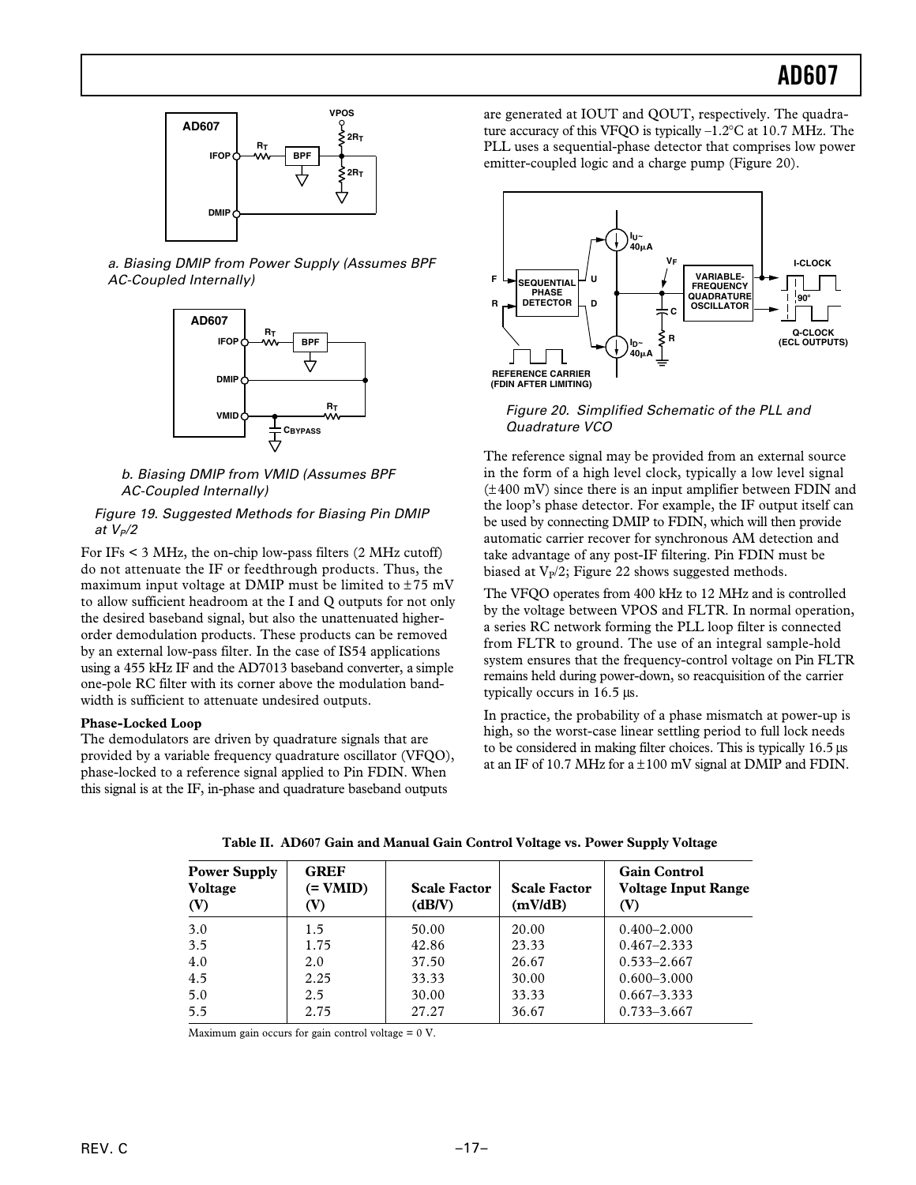

a. Biasing DMIP from Power Supply (Assumes BPF AC-Coupled Internally)



b. Biasing DMIP from VMID (Assumes BPF AC-Coupled Internally)

#### Figure 19. Suggested Methods for Biasing Pin DMIP at  $V_P/2$

For IFs < 3 MHz, the on-chip low-pass filters (2 MHz cutoff) do not attenuate the IF or feedthrough products. Thus, the maximum input voltage at DMIP must be limited to  $\pm 75$  mV to allow sufficient headroom at the I and Q outputs for not only the desired baseband signal, but also the unattenuated higherorder demodulation products. These products can be removed by an external low-pass filter. In the case of IS54 applications using a 455 kHz IF and the AD7013 baseband converter, a simple one-pole RC filter with its corner above the modulation bandwidth is sufficient to attenuate undesired outputs.

#### **Phase-Locked Loop**

The demodulators are driven by quadrature signals that are provided by a variable frequency quadrature oscillator (VFQO), phase-locked to a reference signal applied to Pin FDIN. When this signal is at the IF, in-phase and quadrature baseband outputs

are generated at IOUT and QOUT, respectively. The quadrature accuracy of this VFQO is typically –1.2°C at 10.7 MHz. The PLL uses a sequential-phase detector that comprises low power emitter-coupled logic and a charge pump (Figure 20).



 Figure 20. Simplified Schematic of the PLL and Quadrature VCO

The reference signal may be provided from an external source in the form of a high level clock, typically a low level signal (±400 mV) since there is an input amplifier between FDIN and the loop's phase detector. For example, the IF output itself can be used by connecting DMIP to FDIN, which will then provide automatic carrier recover for synchronous AM detection and take advantage of any post-IF filtering. Pin FDIN must be biased at  $V_p/2$ ; Figure 22 shows suggested methods.

The VFQO operates from 400 kHz to 12 MHz and is controlled by the voltage between VPOS and FLTR. In normal operation, a series RC network forming the PLL loop filter is connected from FLTR to ground. The use of an integral sample-hold system ensures that the frequency-control voltage on Pin FLTR remains held during power-down, so reacquisition of the carrier typically occurs in 16.5 µs.

In practice, the probability of a phase mismatch at power-up is high, so the worst-case linear settling period to full lock needs to be considered in making filter choices. This is typically 16.5 µs at an IF of 10.7 MHz for  $a \pm 100$  mV signal at DMIP and FDIN.

| <b>Power Supply</b><br><b>Voltage</b><br>(V) | <b>GREF</b><br>$(= VMID)$<br>(V) | <b>Scale Factor</b><br>(dBV) | <b>Scale Factor</b><br>(mV/dB) | <b>Gain Control</b><br><b>Voltage Input Range</b><br>(V) |
|----------------------------------------------|----------------------------------|------------------------------|--------------------------------|----------------------------------------------------------|
| 3.0                                          | 1.5                              | 50.00                        | 20.00                          | $0.400 - 2.000$                                          |
| 3.5                                          | 1.75                             | 42.86                        | 23.33                          | $0.467 - 2.333$                                          |
| 4.0                                          | 2.0                              | 37.50                        | 26.67                          | $0.533 - 2.667$                                          |
| 4.5                                          | 2.25                             | 33.33                        | 30.00                          | $0.600 - 3.000$                                          |
| 5.0                                          | 2.5                              | 30.00                        | 33.33                          | $0.667 - 3.333$                                          |
| 5.5                                          | 2.75                             | 27.27                        | 36.67                          | $0.733 - 3.667$                                          |

**Table II. AD607 Gain and Manual Gain Control Voltage vs. Power Supply Voltage**

Maximum gain occurs for gain control voltage = 0 V.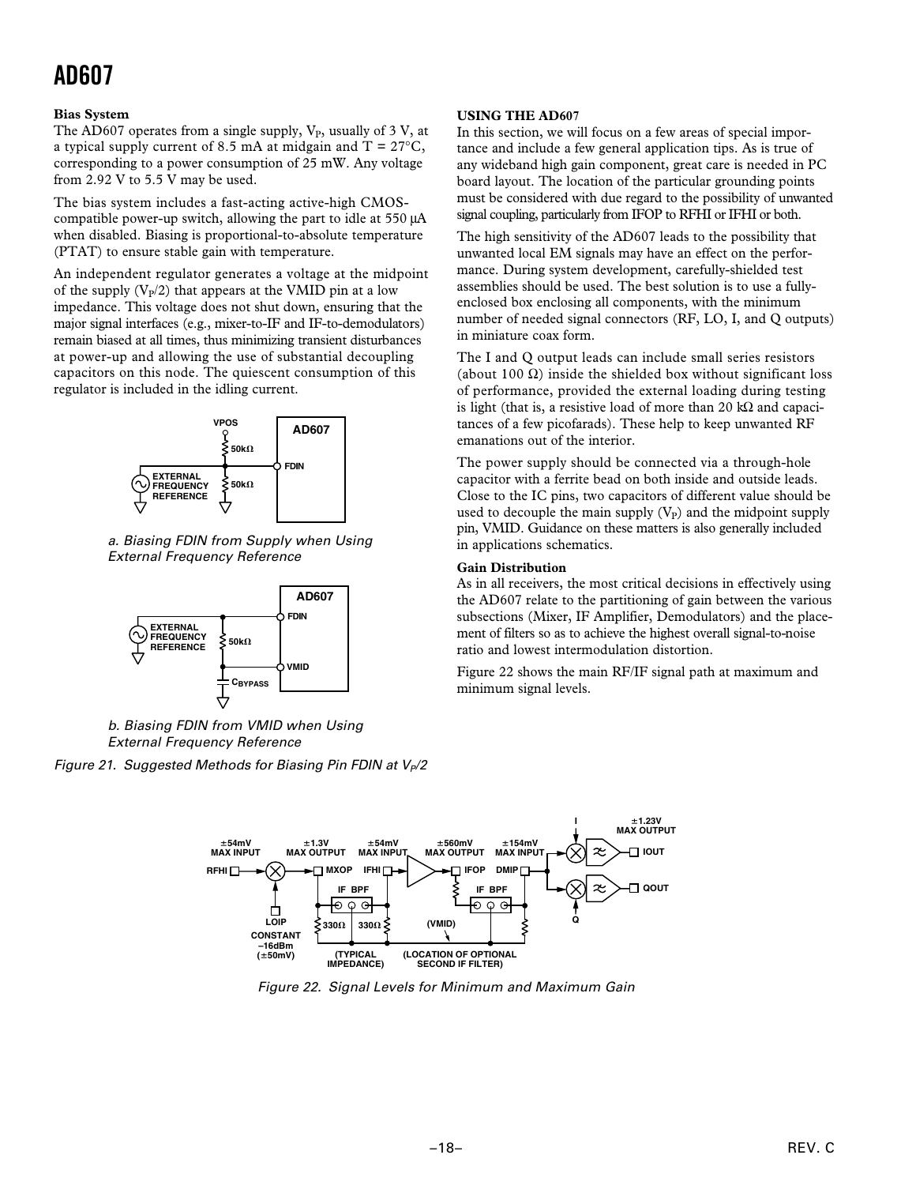#### **Bias System**

The AD607 operates from a single supply,  $V_P$ , usually of 3 V, at a typical supply current of 8.5 mA at midgain and  $T = 27^{\circ}C$ , corresponding to a power consumption of 25 mW. Any voltage from 2.92 V to 5.5 V may be used.

The bias system includes a fast-acting active-high CMOScompatible power-up switch, allowing the part to idle at 550 µA when disabled. Biasing is proportional-to-absolute temperature (PTAT) to ensure stable gain with temperature.

An independent regulator generates a voltage at the midpoint of the supply  $(V_P/2)$  that appears at the VMID pin at a low impedance. This voltage does not shut down, ensuring that the major signal interfaces (e.g., mixer-to-IF and IF-to-demodulators) remain biased at all times, thus minimizing transient disturbances at power-up and allowing the use of substantial decoupling capacitors on this node. The quiescent consumption of this regulator is included in the idling current.



a. Biasing FDIN from Supply when Using External Frequency Reference



b. Biasing FDIN from VMID when Using External Frequency Reference

Figure 21. Suggested Methods for Biasing Pin FDIN at  $V_P/2$ 

#### **USING THE AD607**

In this section, we will focus on a few areas of special importance and include a few general application tips. As is true of any wideband high gain component, great care is needed in PC board layout. The location of the particular grounding points must be considered with due regard to the possibility of unwanted signal coupling, particularly from IFOP to RFHI or IFHI or both.

The high sensitivity of the AD607 leads to the possibility that unwanted local EM signals may have an effect on the performance. During system development, carefully-shielded test assemblies should be used. The best solution is to use a fullyenclosed box enclosing all components, with the minimum number of needed signal connectors (RF, LO, I, and Q outputs) in miniature coax form.

The I and Q output leads can include small series resistors (about 100  $\Omega$ ) inside the shielded box without significant loss of performance, provided the external loading during testing is light (that is, a resistive load of more than 20 kΩ and capacitances of a few picofarads). These help to keep unwanted RF emanations out of the interior.

The power supply should be connected via a through-hole capacitor with a ferrite bead on both inside and outside leads. Close to the IC pins, two capacitors of different value should be used to decouple the main supply  $(V_P)$  and the midpoint supply pin, VMID. Guidance on these matters is also generally included in applications schematics.

#### **Gain Distribution**

As in all receivers, the most critical decisions in effectively using the AD607 relate to the partitioning of gain between the various subsections (Mixer, IF Amplifier, Demodulators) and the placement of filters so as to achieve the highest overall signal-to-noise ratio and lowest intermodulation distortion.

Figure 22 shows the main RF/IF signal path at maximum and minimum signal levels.



Figure 22. Signal Levels for Minimum and Maximum Gain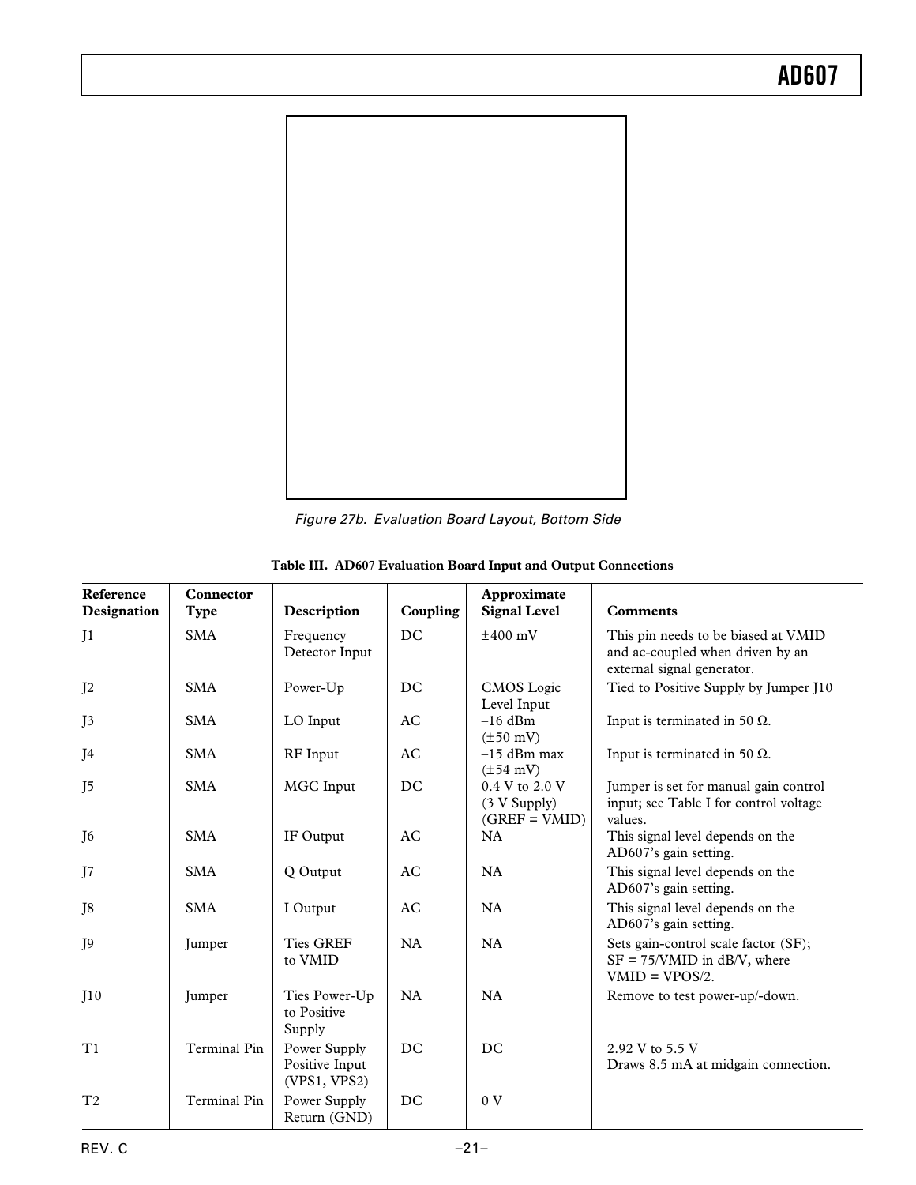

Figure 27b. Evaluation Board Layout, Bottom Side

| Reference<br>Designation | Connector<br>Type   | Description                                    | Coupling  | Approximate<br><b>Signal Level</b>                | <b>Comments</b>                                                                                       |
|--------------------------|---------------------|------------------------------------------------|-----------|---------------------------------------------------|-------------------------------------------------------------------------------------------------------|
| J <sub>1</sub>           | <b>SMA</b>          | Frequency<br>Detector Input                    | <b>DC</b> | $\pm 400$ mV                                      | This pin needs to be biased at VMID<br>and ac-coupled when driven by an<br>external signal generator. |
| J <sub>2</sub>           | <b>SMA</b>          | Power-Up                                       | DC        | CMOS Logic<br>Level Input                         | Tied to Positive Supply by Jumper J10                                                                 |
| I <sub>3</sub>           | <b>SMA</b>          | LO Input                                       | AC        | $-16$ dBm<br>$(\pm 50 \text{ mV})$                | Input is terminated in 50 $\Omega$ .                                                                  |
| J4                       | <b>SMA</b>          | RF Input                                       | AC        | $-15$ dBm max<br>$(\pm 54 \text{ mV})$            | Input is terminated in 50 $\Omega$ .                                                                  |
| J5                       | <b>SMA</b>          | MGC Input                                      | DC        | 0.4 V to 2.0 V<br>(3 V Supply)<br>$(GREF = VMID)$ | Jumper is set for manual gain control<br>input; see Table I for control voltage<br>values.            |
| J <sub>6</sub>           | <b>SMA</b>          | IF Output                                      | AC        | <b>NA</b>                                         | This signal level depends on the<br>AD607's gain setting.                                             |
| J7                       | <b>SMA</b>          | Q Output                                       | AC.       | NA                                                | This signal level depends on the<br>AD607's gain setting.                                             |
| J8                       | <b>SMA</b>          | I Output                                       | AC        | NA                                                | This signal level depends on the<br>AD607's gain setting.                                             |
| I <sub>9</sub>           | Jumper              | <b>Ties GREF</b><br>to VMID                    | NA        | NA                                                | Sets gain-control scale factor (SF);<br>$SF = 75/VMID$ in dB/V, where<br>$VMD = VPOS/2.$              |
| I10                      | Jumper              | Ties Power-Up<br>to Positive<br>Supply         | NA        | NA                                                | Remove to test power-up/-down.                                                                        |
| T1                       | <b>Terminal Pin</b> | Power Supply<br>Positive Input<br>(VPS1, VPS2) | DC        | DC.                                               | 2.92 V to 5.5 V<br>Draws 8.5 mA at midgain connection.                                                |
| T <sub>2</sub>           | <b>Terminal Pin</b> | Power Supply<br>Return (GND)                   | DC        | 0 <sub>V</sub>                                    |                                                                                                       |

|  |  |  |  |  |  | Table III. AD607 Evaluation Board Input and Output Connections |
|--|--|--|--|--|--|----------------------------------------------------------------|
|--|--|--|--|--|--|----------------------------------------------------------------|